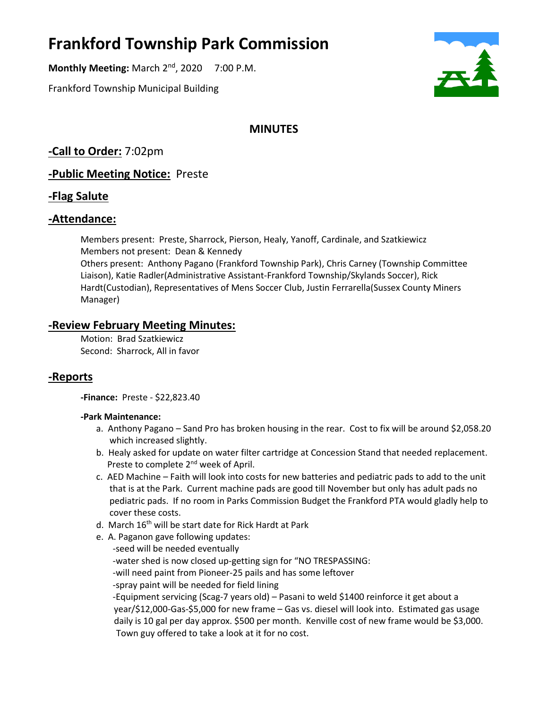# **Frankford Township Park Commission**

**Monthly Meeting: March 2<sup>nd</sup>, 2020 7:00 P.M.** 

Frankford Township Municipal Building



# **MINUTES**

**-Call to Order:** 7:02pm

**-Public Meeting Notice:** Preste

## **-Flag Salute**

## **-Attendance:**

Members present: Preste, Sharrock, Pierson, Healy, Yanoff, Cardinale, and Szatkiewicz Members not present: Dean & Kennedy Others present: Anthony Pagano (Frankford Township Park), Chris Carney (Township Committee Liaison), Katie Radler(Administrative Assistant-Frankford Township/Skylands Soccer), Rick Hardt(Custodian), Representatives of Mens Soccer Club, Justin Ferrarella(Sussex County Miners Manager)

## **-Review February Meeting Minutes:**

Motion: Brad Szatkiewicz Second: Sharrock, All in favor

# **-Reports**

**-Finance:** Preste - \$22,823.40

#### **-Park Maintenance:**

- a. Anthony Pagano Sand Pro has broken housing in the rear. Cost to fix will be around \$2,058.20 which increased slightly.
- b. Healy asked for update on water filter cartridge at Concession Stand that needed replacement. Preste to complete 2<sup>nd</sup> week of April.
- c. AED Machine Faith will look into costs for new batteries and pediatric pads to add to the unit that is at the Park. Current machine pads are good till November but only has adult pads no pediatric pads. If no room in Parks Commission Budget the Frankford PTA would gladly help to cover these costs.
- d. March 16<sup>th</sup> will be start date for Rick Hardt at Park
- e. A. Paganon gave following updates:
	- -seed will be needed eventually -water shed is now closed up-getting sign for "NO TRESPASSING: -will need paint from Pioneer-25 pails and has some leftover -spray paint will be needed for field lining -Equipment servicing (Scag-7 years old) – Pasani to weld \$1400 reinforce it get about a year/\$12,000-Gas-\$5,000 for new frame – Gas vs. diesel will look into. Estimated gas usage daily is 10 gal per day approx. \$500 per month. Kenville cost of new frame would be \$3,000. Town guy offered to take a look at it for no cost.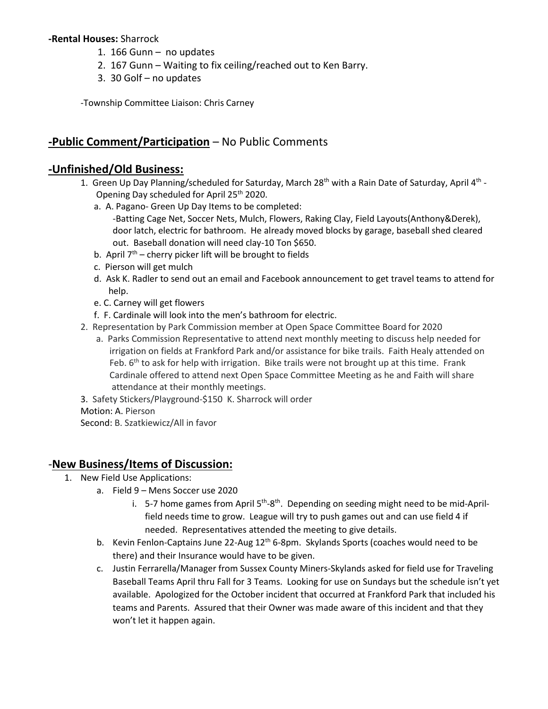#### **-Rental Houses:** Sharrock

- 1. 166 Gunn no updates
- 2. 167 Gunn Waiting to fix ceiling/reached out to Ken Barry.
- 3. 30 Golf no updates

-Township Committee Liaison: Chris Carney

## **-Public Comment/Participation** – No Public Comments

### **-Unfinished/Old Business:**

- 1. Green Up Day Planning/scheduled for Saturday, March 28<sup>th</sup> with a Rain Date of Saturday, April 4<sup>th</sup> - Opening Day scheduled for April 25th 2020.
	- a. A. Pagano- Green Up Day Items to be completed:
		- -Batting Cage Net, Soccer Nets, Mulch, Flowers, Raking Clay, Field Layouts(Anthony&Derek), door latch, electric for bathroom. He already moved blocks by garage, baseball shed cleared out. Baseball donation will need clay-10 Ton \$650.
	- b. April  $7<sup>th</sup>$  cherry picker lift will be brought to fields
	- c. Pierson will get mulch
	- d. Ask K. Radler to send out an email and Facebook announcement to get travel teams to attend for help.
	- e. C. Carney will get flowers
	- f. F. Cardinale will look into the men's bathroom for electric.
- 2. Representation by Park Commission member at Open Space Committee Board for 2020
- a. Parks Commission Representative to attend next monthly meeting to discuss help needed for irrigation on fields at Frankford Park and/or assistance for bike trails. Faith Healy attended on Feb.  $6<sup>th</sup>$  to ask for help with irrigation. Bike trails were not brought up at this time. Frank Cardinale offered to attend next Open Space Committee Meeting as he and Faith will share attendance at their monthly meetings.
- 3. Safety Stickers/Playground-\$150 K. Sharrock will order
- Motion: A. Pierson

Second: B. Szatkiewicz/All in favor

#### -**New Business/Items of Discussion:**

- 1. New Field Use Applications:
	- a. Field 9 Mens Soccer use 2020
		- i. 5-7 home games from April 5<sup>th</sup>-8<sup>th</sup>. Depending on seeding might need to be mid-Aprilfield needs time to grow. League will try to push games out and can use field 4 if needed. Representatives attended the meeting to give details.
	- b. Kevin Fenlon-Captains June 22-Aug  $12<sup>th</sup>$  6-8pm. Skylands Sports (coaches would need to be there) and their Insurance would have to be given.
	- c. Justin Ferrarella/Manager from Sussex County Miners-Skylands asked for field use for Traveling Baseball Teams April thru Fall for 3 Teams. Looking for use on Sundays but the schedule isn't yet available. Apologized for the October incident that occurred at Frankford Park that included his teams and Parents. Assured that their Owner was made aware of this incident and that they won't let it happen again.